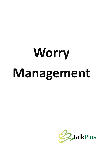# Worry Management

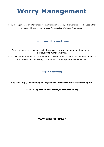# **Worry Management**

Worry management is an intervention for the treatment of worry. This workbook can be used either alone or with the support of your Psychological Wellbeing Practitioner.

#### **How to use this workbook.**

Worry management has four parts. Each aspect of worry management can be used individually to manage worries.

It can take some time for an intervention to become effective and to show improvement. It is important to allow enough time for worry management to be effective.

#### **Helpful Resources;**

Help Guide **http://www.helpguide.org/articles/anxiety/how-to-stop-worrying.htm** 

Mind Shift App **http://www.anxietybc.com/mobile-app** 

**www.talkplus.org.uk**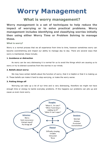## **Worry Management**

#### **What is worry management?**

**Worry management is a set of techniques to help reduce the impact of worrying or to solve practical problems. Worry management includes identifying and classifying worries initially then using either Worry Time or Problem Solving to manage these.** 

#### **What is worry?**

Worry is a normal process that we all experience from time to time, however sometimes worry can become overwhelming and impact our ability to manage day to day. There are several ways that worry is maintained, these include;

#### **1. Avoidance or distraction**

 As worry can be very distressing it is normal for us to avoid the things which are causing us to worry or try to distract ourselves from the worries in our minds.

#### **2. Beliefs about worry:**

We may have certain beliefs about the function of worry; that it is helpful or that it is making us ill. These beliefs can make it hard to stop worrying, or make the worry worse.

#### **3. Putting things off**

 Worrying can take up a lot of our time and is very distressing, therefore we might not have enough time or energy to tackle everyday problems. If this happens our problems can pile up and cause us even more worry.

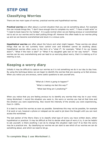## **STEP ONE**

#### **Classifying Worries**

There are two main types of worries; practical worries and hypothetical worries.

**Practical worries** are often about a current situation that you can do something about. For example this can include things like; "I don't have enough time to complete my work", "I have a tooth ache" or "I need to book leave for my holiday". It is quite normal when we are feeling anxious or overwhelmed not to act on our worries and to start putting things off. However this often leads to our worries piling up and we can become overwhelmed and stuck in a vicious cycle.

**Hypothetical worries** are often about the future and what might happen. These worries are about things that we do not currently have control over and therefore cannot do anything about. Hypothetical worries often come in the form of a "what if", for example; "What if my car breaks down?", "What if the train is late?" or "What if my daughter gets lost on her way home?". These worries can be very overwhelming and can lead to us worrying about worry; that it is making us ill or wearing us out..

#### **Keeping a worry diary**

Initially it may be difficult to capture our worries as it is not something we do in our day to day lives. By using the technique below we can begin to identify the worries that are causing us to feel anxious. When you notice you are anxious, some useful questions to ask yourself are;

> *"What do I think is going to happen?" "What is making me feel this way?" "What bad thing am I predicting?"*

When you notice that you are feeling anxious try to identify any worries that may be in your mind. Using *Worksheet 1* record the situation you were in, the worry or worries you had at that time and the emotion you were experiencing. Also record the intensity of the anxiety you were experiencing, from 0—100%.

It is best to record the worries as soon as possible. Sometimes this may not be possible, for example if at work or out, however a phone or notepad can be used to jot down the thought until you can next access the worksheet.

The last section of the Worry Diary is to classify what type of worry you have written down, either hypothetical or practical. It may be difficult at first to decide what type of worry it is, it can be helpful to ask yourself; is there anything I can do to change this situation right now? If so then the worry may be a practical one. By classifying our worries we can start to see which of our worries we can do something about, and which we need to let go.

**To complete Step 1 use** *Worksheet 1***.**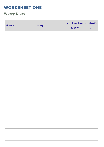## **WORKSHEET ONE**

## **Worry Diary**

| <b>Situation</b> | <b>Worry</b> | <b>Intensity of Anxiety</b> | <b>Classify</b>    |             |
|------------------|--------------|-----------------------------|--------------------|-------------|
|                  |              | $(0-100%)$                  | $\pmb{\mathsf{P}}$ | $\mathsf H$ |
|                  |              |                             |                    |             |
|                  |              |                             |                    |             |
|                  |              |                             |                    |             |
|                  |              |                             |                    |             |
|                  |              |                             |                    |             |
|                  |              |                             |                    |             |
|                  |              |                             |                    |             |
|                  |              |                             |                    |             |
|                  |              |                             |                    |             |
|                  |              |                             |                    |             |
|                  |              |                             |                    |             |
|                  |              |                             |                    |             |
|                  |              |                             |                    |             |
|                  |              |                             |                    |             |
|                  |              |                             |                    |             |
|                  |              |                             |                    |             |
|                  |              |                             |                    |             |
|                  |              |                             |                    |             |
|                  |              |                             |                    |             |
|                  |              |                             |                    |             |
|                  |              |                             |                    |             |
|                  |              |                             |                    |             |
|                  |              |                             |                    |             |
|                  |              |                             |                    |             |
|                  |              |                             |                    |             |
|                  |              |                             |                    |             |
|                  |              |                             |                    |             |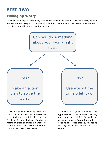## **STEP TWO**

#### **Managing Worry**

Once you have kept a worry diary for a period of time and have got used to classifying your worries, the next step is to manage your worries. Use the flow chart below to decide which techniques would be most beneficial for you.



If you notice in your worry diary that you have a lot of **practical worries** the best techniques might be to use Problem Solving. Problem Solving is helpful in order to create a manageable action plan to start solving the worries. For Problem Solving see page 8.

If many of your worries are **hypothetical**, then Problem Solving would not be helpful. Instead the technique to use is Worry Time to learn to let go of worries that you cannot do anything about. For Worry Time see page 7.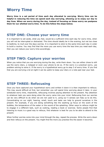## **Worry Time**

**Worry time is a set period of time each day allocated to worrying. Worry time can be helpful in reducing the time we spend each day worrying, allowing us to enjoy our day to day lives. When we worry during the day, instead of focusing on these worry we postpone them for our allotted worry time. To do this follow the steps below;** 

#### **STEP ONE: Choose your worry time**

It is important to set aside, what you feel, would be a sufficient time each day for worry time, when you will not be interrupted or distracted. This time should ideally be in the evening, but not too close to bedtime, to mull over the days worries. It is important to stick to the same time each day in order to build a routine. You may find that the more you use worry time the less time you need each day, then you can reduce your worry time accordingly.

#### **STEP TWO: Capture your worries**

When you notice that you are worrying during the day, write them down. You can either chose to still use the worry diary, a notepad or even your phone to do so. If the worry is a practical worry, use problem solving to solve it. If the worry is a hypothetical worry go to step 3 of worry time. If you find that you are worrying a lot at night it can be useful to keep your diary or a note pad near your bed.

#### **STEP THREE: Refocusing**

Once you have captured your hypothetical worry and written it down it is then important to refocus. This may sound difficult at first, but remember you will spend time worrying about it later, in your scheduled worry time, meanwhile, refocusing involves paying attention to the present. Pay attention to whatever task you were doing when the worry came into your mind. Refocusing from our worries can be very difficult to do when we are not used to it, using our 5 senses can help us to do this. Concentrating on our sight, hearing, smell, touch and taste can help to ground ourselves in the present. For example, if you are doing something like the washing up focus on the scent of the bubbles, the temperature of the water or the sound of the splashing. Other ways to refocus might be to engage in a different task, such as cooking, reading a book or exercise. Some people find that listening to music is a good way to refocus, find whatever is best for you to be able to attend to the present.

When further worries come into your mind through the day, repeat the process. Write the worry down and then refocus on the present. You might find the more you practise this the easier it becomes.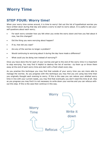## **Worry Time**

#### **STEP FOUR: Worry time!**

When your worry time comes around, it is time to worry! Get out the list of hypothetical worries you have written down during that day and select a worry to start to worry about. It is useful to ask yourself questions about each worry;

- For each worry consider how you felt when you wrote the worry down and how you feel about it now, has this changed?
- Did the thing you were worrying about happen?
- If so, how did you cope?
- Are any of the worries no longer a problem?
- Would continuing to worrying about it during the day have made a difference?
- What could you be doing now instead of worrying??

Once you have done this for each of your worries and get to the end of the worry time it is important to stop worrying. You may find it helpful to destroy the list of worries– rip them up or throw them away at the end of each worry time and start with a fresh sheet every day.

As you practise this technique you may find that outside of your worry time you are more able to manage the worries. As you progress with this technique you may find you are using less time than you originally thought each evening to worry. If this is the case you can reduce your allotted worry time in line with your current needs, you may find that eventually you don't need this time at all. Also as you progress you may find it is not necessary to write down your worries and you can refocus without this step. If this is the case then continue in this way.

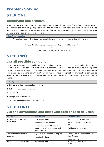## **Problem Solving**

## **STEP ONE**

#### **Identifying one problem**

It may be that you have more than one problem at a time, therefore the first step of Problem Solving is to choose one problem, perhaps start with the problem that will make the most difference if it was not there. It is important that we define the problem as clearly as possible, try to be clear about what aspects of the situation make it a problem.

| <b>Identify one problem</b>                                                                  |  |
|----------------------------------------------------------------------------------------------|--|
| "I have too much work to do so I am completing work at home and missing time with my family" |  |
| <b>OR</b>                                                                                    |  |
| "I haven't paid my rent arrears and now they say I will be evicted"                          |  |
| <b>OR</b>                                                                                    |  |
| "I can't do anything to help my elderly relative"                                            |  |

## **STEP TWO**

#### **List all possible solutions**

List as many solutions as possible; don't worry about how practical, good or reasonable the solutions are at this stage, try for a list of at least five possible solutions. It can be difficult to come up with solutions when we are feeling overwhelmed therefore it is important that we try to be as creative as possible so you can come up with solutions you may not have thought about previously. It can also be helpful to ask a trusted friend or family member to help you come up with solutions, or even to look online.

|  | List all possible solutions |
|--|-----------------------------|
|  |                             |

- 1. Only do what I can complete in work hours
- 2. Talk to my boss about my problem
- 3. Quit my job
- 4. Manage time better at work
- 5. Delegate some of the work to my colleagues

## **STEP THREE**

#### **List the advantages and disadvantages of each solution**

| <b>Solution</b>                | <b>Advantages</b>                                                                                                        | <b>Disadvantages</b>                                                  |
|--------------------------------|--------------------------------------------------------------------------------------------------------------------------|-----------------------------------------------------------------------|
| Only do what I can complete in | Have family time.                                                                                                        | Won't get all my work done.                                           |
| work hours.                    | Will highlight the problem.<br>Increasing pleasurable activities at<br>home will improve my mood and<br>ability to cope. | My workload will increase day by<br>day.<br>I will get more stressed. |
| Talk to my boss about my       | My boss is in a position to help me.                                                                                     | I don't want my boss to know that                                     |
| problem.                       | Have family time.                                                                                                        | I can't cope.                                                         |
|                                |                                                                                                                          | Might not help.                                                       |
| Manage time better at work.    | Have family time.                                                                                                        | Not enough time to complete all                                       |
|                                |                                                                                                                          | tasks.                                                                |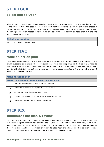## **STEP FOUR**

#### **Select one solution**

After reviewing the advantages and disadvantages of each solution, select one solution that you feel at the time will have the best chance of the most positive outcome. It may be difficult to choose a solution as you are concerned that it will not work, however keep in mind that you have gone through the strengths and weaknesses of each. If several solutions seem equally as good then pick the one that requires the least effort.

#### **Select one solution**

Talk to my boss about my problem

### **STEP FIVE**

#### **Make an action plan**

Develop an action plan of how you will carry out the solution step by step using the worksheet. Some useful questions to consider while developing the action plan are; What is the first step I need to take? Where will I be? Who will be involved? When will I carry out the plan? As carrying out the plan may be difficult it is important that we are very specific about each step of the plan and to break it down into manageable steps.

| <b>Make an action plan</b> |                                                                       |
|----------------------------|-----------------------------------------------------------------------|
| <b>Steps</b>               | Include what, where, when, and with who                               |
|                            | Email my boss Monday at 9:30am to request a meeting.                  |
| $\overline{\mathbf{z}}$    | List what I am currently finding difficult and any solutions.         |
| 3                          | Arrange and attend the meeting with my boss.                          |
| 4                          | Explain to my boss my current difficulties- being specific and clear. |
|                            | Agree a plan with my boss to manage my workload.                      |

## **STEP SIX**

#### **Implement the plan & review**

Carry out the solution as outlined in the action plan you developed in *Step Five*. Once you have carried out the plan evaluate how effective the solution was. Think about what went well, or what you might do differently in the future. If the solution did not fully fix the problem then consider whether the action plan needs to be revised or return to *Step Four* and choose another solution instead. Learning from an attempt can be invaluable in identifying the best solution.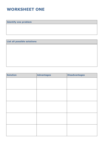## **WORKSHEET ONE**

**Identify one problem** 

**List all possible solutions** 

**Solution Advantages Disadvantages**